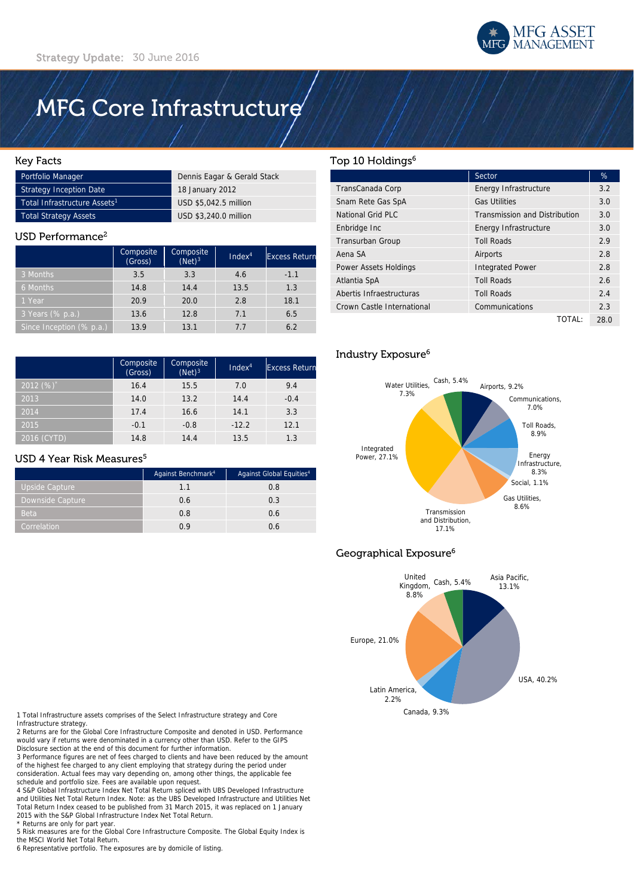# MFG Core Infrastructure

#### Key Facts

| Portfolio Manager                        | Dennis Eagar & Gerald Stack |  |
|------------------------------------------|-----------------------------|--|
| Strategy Inception Date                  | 18 January 2012             |  |
| Total Infrastructure Assets <sup>1</sup> | USD \$5.042.5 million       |  |
| Total Strategy Assets                    | USD \$3,240.0 million       |  |

#### USD Performance<sup>2</sup>

|                          | Composite<br>(Gross) | Composite<br>$(Net)^3$ | Index <sup>4</sup> | <b>Excess Return</b> |
|--------------------------|----------------------|------------------------|--------------------|----------------------|
| 3 Months                 | 3.5                  | 3.3                    | 4.6                | $-1.1$               |
| 6 Months                 | 14.8                 | 14.4                   | 13.5               | 1.3                  |
| 1 Year                   | 20.9                 | 20.0                   | 2.8                | 18.1                 |
| 3 Years (% p.a.)         | 13.6                 | 12.8                   | 7.1                | 6.5                  |
| Since Inception (% p.a.) | 13.9                 | 13.1                   | 77                 | 6.2                  |

|             | Composite<br>(Gross) | Composite<br>$(Net)^3$ | Index <sup>4</sup> | <b>Excess Return</b> |
|-------------|----------------------|------------------------|--------------------|----------------------|
| $2012(%)^*$ | 16.4                 | 15.5                   | 7.0                | 9.4                  |
| 2013        | 14.0                 | 13.2                   | 14.4               | $-0.4$               |
| 2014        | 17.4                 | 16.6                   | 14.1               | 3.3                  |
| 2015        | $-0.1$               | $-0.8$                 | $-12.2$            | 12.1                 |
| 2016 (CYTD) | 14.8                 | 14.4                   | 13.5               | 1.3                  |

#### USD 4 Year Risk Measures<sup>5</sup>

|                  | Against Benchmark <sup>4</sup> | Against Global Equities <sup>4</sup> |
|------------------|--------------------------------|--------------------------------------|
| Upside Capture   | 1.1                            | 0.8                                  |
| Downside Capture | 0.6                            | 0.3                                  |
| <b>Beta</b>      | 0.8                            | 0.6                                  |
| Correlation      | 0 ዓ                            | 0.6                                  |

#### Top 10 Holdings<sup>6</sup>

|                            | Sector                               | %    |
|----------------------------|--------------------------------------|------|
| TransCanada Corp           | Energy Infrastructure                | 3.2  |
| Snam Rete Gas SpA          | <b>Gas Utilities</b>                 | 3.0  |
| National Grid PLC          | <b>Transmission and Distribution</b> | 3.0  |
| Enbridge Inc               | Energy Infrastructure                | 3.0  |
| Transurban Group           | <b>Toll Roads</b>                    | 2.9  |
| Aena SA                    | Airports                             | 2.8  |
| Power Assets Holdings      | <b>Integrated Power</b>              | 2.8  |
| Atlantia SpA               | <b>Toll Roads</b>                    | 2.6  |
| Abertis Infraestructuras   | <b>Toll Roads</b>                    | 2.4  |
| Crown Castle International | Communications                       | 2.3  |
|                            | TOTAL:                               | 28.0 |

## Industry Exposure6



## Geographical Exposure6



1 Total Infrastructure assets comprises of the Select Infrastructure strategy and Core

Infrastructure strategy. 2 Returns are for the Global Core Infrastructure Composite and denoted in USD. Performance would vary if returns were denominated in a currency other than USD. Refer to the GIPS Disclosure section at the end of this document for further information.

3 Performance figures are net of fees charged to clients and have been reduced by the amount of the highest fee charged to any client employing that strategy during the period under consideration. Actual fees may vary depending on, among other things, the applicable fee schedule and portfolio size. Fees are available upon request.

4 S&P Global Infrastructure Index Net Total Return spliced with UBS Developed Infrastructure and Utilities Net Total Return Index. Note: as the UBS Developed Infrastructure and Utilities Net Total Return Index ceased to be published from 31 March 2015, it was replaced on 1 January 2015 with the S&P Global Infrastructure Index Net Total Return. \* Returns are only for part year.

5 Risk measures are for the Global Core Infrastructure Composite. The Global Equity Index is the MSCI World Net Total Return.

6 Representative portfolio. The exposures are by domicile of listing.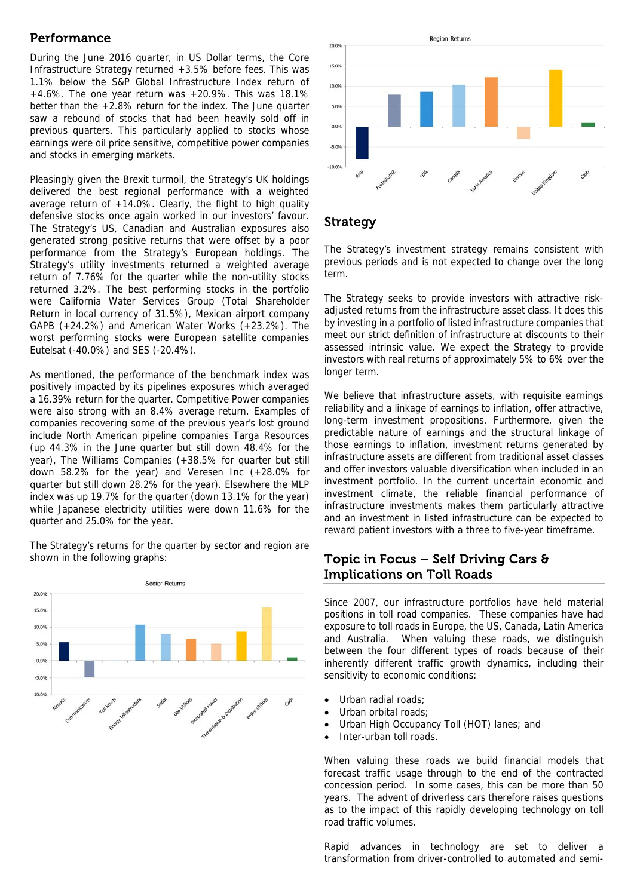# Performance

During the June 2016 quarter, in US Dollar terms, the Core Infrastructure Strategy returned +3.5% before fees. This was 1.1% below the S&P Global Infrastructure Index return of  $+4.6\%$ . The one year return was  $+20.9\%$ . This was 18.1% better than the +2.8% return for the index. The June quarter saw a rebound of stocks that had been heavily sold off in previous quarters. This particularly applied to stocks whose earnings were oil price sensitive, competitive power companies and stocks in emerging markets.

Pleasingly given the Brexit turmoil, the Strategy's UK holdings delivered the best regional performance with a weighted average return of +14.0%. Clearly, the flight to high quality defensive stocks once again worked in our investors' favour. The Strategy's US, Canadian and Australian exposures also generated strong positive returns that were offset by a poor performance from the Strategy's European holdings. The Strategy's utility investments returned a weighted average return of 7.76% for the quarter while the non-utility stocks returned 3.2%. The best performing stocks in the portfolio were California Water Services Group (Total Shareholder Return in local currency of 31.5%), Mexican airport company GAPB (+24.2%) and American Water Works (+23.2%). The worst performing stocks were European satellite companies Eutelsat (-40.0%) and SES (-20.4%).

As mentioned, the performance of the benchmark index was positively impacted by its pipelines exposures which averaged a 16.39% return for the quarter. Competitive Power companies were also strong with an 8.4% average return. Examples of companies recovering some of the previous year's lost ground include North American pipeline companies Targa Resources (up 44.3% in the June quarter but still down 48.4% for the year), The Williams Companies (+38.5% for quarter but still down 58.2% for the year) and Veresen Inc (+28.0% for quarter but still down 28.2% for the year). Elsewhere the MLP index was up 19.7% for the quarter (down 13.1% for the year) while Japanese electricity utilities were down 11.6% for the quarter and 25.0% for the year.

The Strategy's returns for the quarter by sector and region are shown in the following graphs:





### Strategy

The Strategy's investment strategy remains consistent with previous periods and is not expected to change over the long term.

The Strategy seeks to provide investors with attractive riskadjusted returns from the infrastructure asset class. It does this by investing in a portfolio of listed infrastructure companies that meet our strict definition of infrastructure at discounts to their assessed intrinsic value. We expect the Strategy to provide investors with real returns of approximately 5% to 6% over the longer term.

We believe that infrastructure assets, with requisite earnings reliability and a linkage of earnings to inflation, offer attractive, long-term investment propositions. Furthermore, given the predictable nature of earnings and the structural linkage of those earnings to inflation, investment returns generated by infrastructure assets are different from traditional asset classes and offer investors valuable diversification when included in an investment portfolio. In the current uncertain economic and investment climate, the reliable financial performance of infrastructure investments makes them particularly attractive and an investment in listed infrastructure can be expected to reward patient investors with a three to five-year timeframe.

# Topic in Focus – Self Driving Cars  $\theta$ Implications on Toll Roads

Since 2007, our infrastructure portfolios have held material positions in toll road companies. These companies have had exposure to toll roads in Europe, the US, Canada, Latin America and Australia. When valuing these roads, we distinguish between the four different types of roads because of their inherently different traffic growth dynamics, including their sensitivity to economic conditions:

- Urban radial roads;
- Urban orbital roads;
- Urban High Occupancy Toll (HOT) lanes; and
- Inter-urban toll roads.

When valuing these roads we build financial models that forecast traffic usage through to the end of the contracted concession period. In some cases, this can be more than 50 years. The advent of driverless cars therefore raises questions as to the impact of this rapidly developing technology on toll road traffic volumes.

Rapid advances in technology are set to deliver a transformation from driver-controlled to automated and semi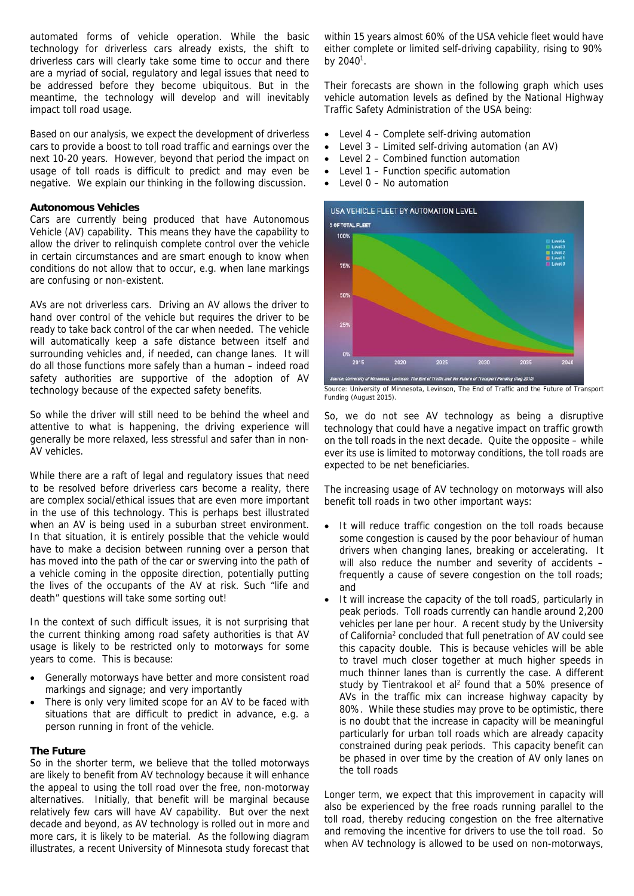automated forms of vehicle operation. While the basic technology for driverless cars already exists, the shift to driverless cars will clearly take some time to occur and there are a myriad of social, regulatory and legal issues that need to be addressed before they become ubiquitous. But in the meantime, the technology will develop and will inevitably impact toll road usage.

Based on our analysis, we expect the development of driverless cars to provide a boost to toll road traffic and earnings over the next 10-20 years. However, beyond that period the impact on usage of toll roads is difficult to predict and may even be negative. We explain our thinking in the following discussion.

#### **Autonomous Vehicles**

Cars are currently being produced that have Autonomous Vehicle (AV) capability. This means they have the capability to allow the driver to relinquish complete control over the vehicle in certain circumstances and are smart enough to know when conditions do not allow that to occur, e.g. when lane markings are confusing or non-existent.

AVs are not driverless cars. Driving an AV allows the driver to hand over control of the vehicle but requires the driver to be ready to take back control of the car when needed. The vehicle will automatically keep a safe distance between itself and surrounding vehicles and, if needed, can change lanes. It will do all those functions more safely than a human – indeed road safety authorities are supportive of the adoption of AV technology because of the expected safety benefits.

So while the driver will still need to be behind the wheel and attentive to what is happening, the driving experience will generally be more relaxed, less stressful and safer than in non-AV vehicles.

While there are a raft of legal and regulatory issues that need to be resolved before driverless cars become a reality, there are complex social/ethical issues that are even more important in the use of this technology. This is perhaps best illustrated when an AV is being used in a suburban street environment. In that situation, it is entirely possible that the vehicle would have to make a decision between running over a person that has moved into the path of the car or swerving into the path of a vehicle coming in the opposite direction, potentially putting the lives of the occupants of the AV at risk. Such "life and death" questions will take some sorting out!

In the context of such difficult issues, it is not surprising that the current thinking among road safety authorities is that AV usage is likely to be restricted only to motorways for some years to come. This is because:

- Generally motorways have better and more consistent road markings and signage; and very importantly
- There is only very limited scope for an AV to be faced with situations that are difficult to predict in advance, e.g. a person running in front of the vehicle.

#### **The Future**

So in the shorter term, we believe that the tolled motorways are likely to benefit from AV technology because it will enhance the appeal to using the toll road over the free, non-motorway alternatives. Initially, that benefit will be marginal because relatively few cars will have AV capability. But over the next decade and beyond, as AV technology is rolled out in more and more cars, it is likely to be material. As the following diagram illustrates, a recent University of Minnesota study forecast that

within 15 years almost 60% of the USA vehicle fleet would have either complete or limited self-driving capability, rising to 90% by  $2040^1$ .

Their forecasts are shown in the following graph which uses vehicle automation levels as defined by the National Highway Traffic Safety Administration of the USA being:

- Level 4 Complete self-driving automation
- Level 3 Limited self-driving automation (an AV)
- Level 2 Combined function automation
- Level 1 Function specific automation
- $\bullet$  Level  $0$  No automation



Source: University of Minnesota, Levinson, The End of Traffic and the Future of Transport Funding (August 2015).

So, we do not see AV technology as being a disruptive technology that could have a negative impact on traffic growth on the toll roads in the next decade. Quite the opposite – while ever its use is limited to motorway conditions, the toll roads are expected to be net beneficiaries.

The increasing usage of AV technology on motorways will also benefit toll roads in two other important ways:

- It will reduce traffic congestion on the toll roads because some congestion is caused by the poor behaviour of human drivers when changing lanes, breaking or accelerating. It will also reduce the number and severity of accidents frequently a cause of severe congestion on the toll roads; and
- It will increase the capacity of the toll roadS, particularly in peak periods. Toll roads currently can handle around 2,200 vehicles per lane per hour. A recent study by the University of California<sup>2</sup> concluded that full penetration of AV could see this capacity double. This is because vehicles will be able to travel much closer together at much higher speeds in much thinner lanes than is currently the case. A different study by Tientrakool et al<sup>2</sup> found that a 50% presence of AVs in the traffic mix can increase highway capacity by 80%. While these studies may prove to be optimistic, there is no doubt that the increase in capacity will be meaningful particularly for urban toll roads which are already capacity constrained during peak periods. This capacity benefit can be phased in over time by the creation of AV only lanes on the toll roads

Longer term, we expect that this improvement in capacity will also be experienced by the free roads running parallel to the toll road, thereby reducing congestion on the free alternative and removing the incentive for drivers to use the toll road. So when AV technology is allowed to be used on non-motorways,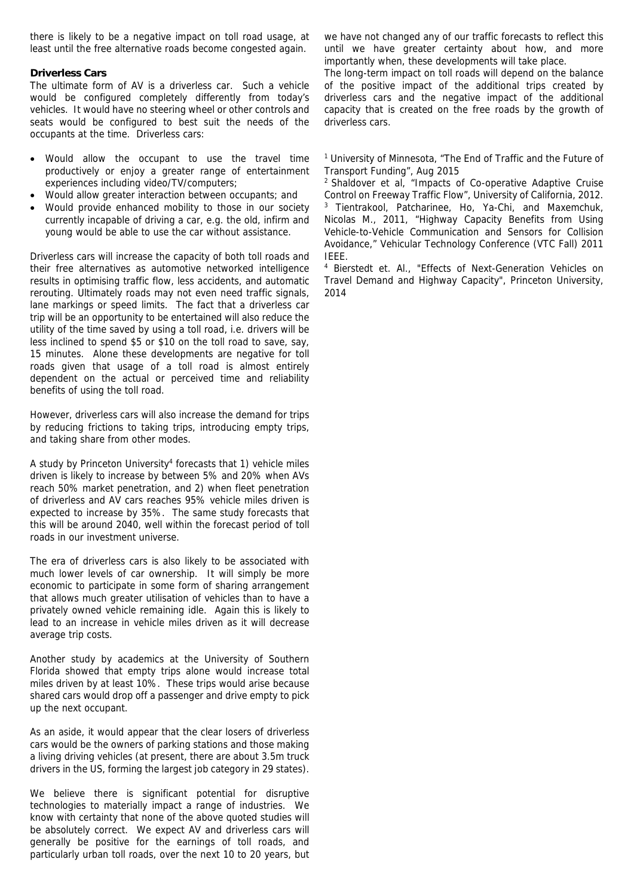there is likely to be a negative impact on toll road usage, at least until the free alternative roads become congested again.

#### **Driverless Cars**

The ultimate form of AV is a driverless car. Such a vehicle would be configured completely differently from today's vehicles. It would have no steering wheel or other controls and seats would be configured to best suit the needs of the occupants at the time. Driverless cars:

- Would allow the occupant to use the travel time productively or enjoy a greater range of entertainment experiences including video/TV/computers;
- Would allow greater interaction between occupants; and
- Would provide enhanced mobility to those in our society currently incapable of driving a car, e.g. the old, infirm and young would be able to use the car without assistance.

Driverless cars will increase the capacity of both toll roads and their free alternatives as automotive networked intelligence results in optimising traffic flow, less accidents, and automatic rerouting. Ultimately roads may not even need traffic signals, lane markings or speed limits. The fact that a driverless car trip will be an opportunity to be entertained will also reduce the utility of the time saved by using a toll road, i.e. drivers will be less inclined to spend \$5 or \$10 on the toll road to save, say, 15 minutes. Alone these developments are negative for toll roads given that usage of a toll road is almost entirely dependent on the actual or perceived time and reliability benefits of using the toll road.

However, driverless cars will also increase the demand for trips by reducing frictions to taking trips, introducing empty trips, and taking share from other modes.

A study by Princeton University<sup>4</sup> forecasts that 1) vehicle miles driven is likely to increase by between 5% and 20% when AVs reach 50% market penetration, and 2) when fleet penetration of driverless and AV cars reaches 95% vehicle miles driven is expected to increase by 35%. The same study forecasts that this will be around 2040, well within the forecast period of toll roads in our investment universe.

The era of driverless cars is also likely to be associated with much lower levels of car ownership. It will simply be more economic to participate in some form of sharing arrangement that allows much greater utilisation of vehicles than to have a privately owned vehicle remaining idle. Again this is likely to lead to an increase in vehicle miles driven as it will decrease average trip costs.

Another study by academics at the University of Southern Florida showed that empty trips alone would increase total miles driven by at least 10%. These trips would arise because shared cars would drop off a passenger and drive empty to pick up the next occupant.

As an aside, it would appear that the clear losers of driverless cars would be the owners of parking stations and those making a living driving vehicles (at present, there are about 3.5m truck drivers in the US, forming the largest job category in 29 states).

We believe there is significant potential for disruptive technologies to materially impact a range of industries. We know with certainty that none of the above quoted studies will be absolutely correct. We expect AV and driverless cars will generally be positive for the earnings of toll roads, and particularly urban toll roads, over the next 10 to 20 years, but

we have not changed any of our traffic forecasts to reflect this until we have greater certainty about how, and more importantly when, these developments will take place.

The long-term impact on toll roads will depend on the balance of the positive impact of the additional trips created by driverless cars and the negative impact of the additional capacity that is created on the free roads by the growth of driverless cars.

<sup>1</sup> University of Minnesota, "The End of Traffic and the Future of Transport Funding", Aug 2015

2 Shaldover et al, "Impacts of Co-operative Adaptive Cruise Control on Freeway Traffic Flow", University of California, 2012. 3 Tientrakool, Patcharinee, Ho, Ya-Chi, and Maxemchuk, Nicolas M., 2011, "Highway Capacity Benefits from Using Vehicle-to-Vehicle Communication and Sensors for Collision Avoidance," Vehicular Technology Conference (VTC Fall) 2011

IEEE. 4 Bierstedt et. Al., "Effects of Next-Generation Vehicles on Travel Demand and Highway Capacity", Princeton University, 2014